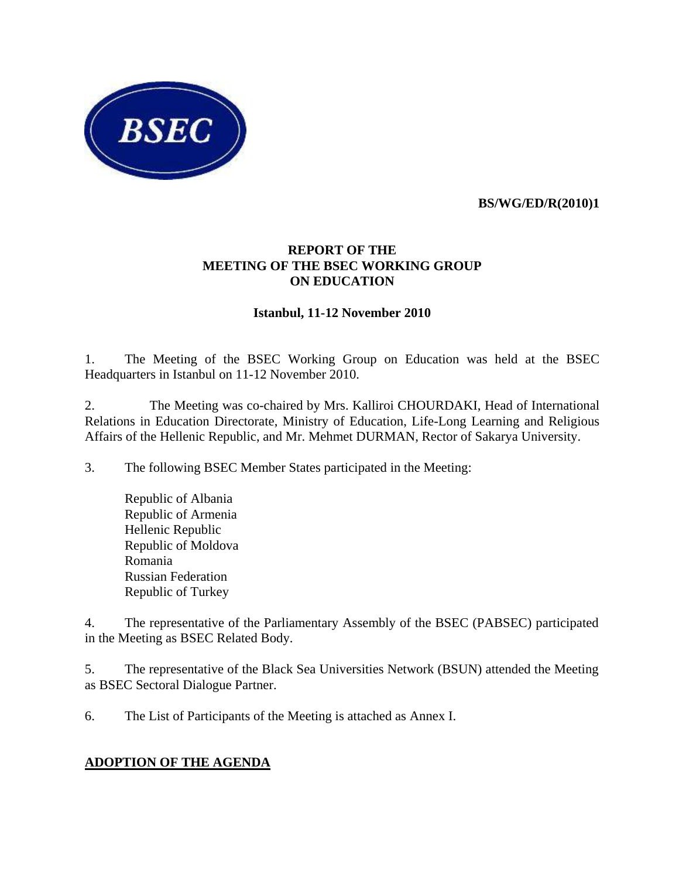

 **BS/WG/ED/R(2010)1** 

# **REPORT OF THE MEETING OF THE BSEC WORKING GROUP ON EDUCATION**

#### **Istanbul, 11-12 November 2010**

1. The Meeting of the BSEC Working Group on Education was held at the BSEC Headquarters in Istanbul on 11-12 November 2010.

2. The Meeting was co-chaired by Mrs. Kalliroi CHOURDAKI, Head of International Relations in Education Directorate, Ministry of Education, Life-Long Learning and Religious Affairs of the Hellenic Republic, and Mr. Mehmet DURMAN, Rector of Sakarya University.

3. The following BSEC Member States participated in the Meeting:

Republic of Albania Republic of Armenia Hellenic Republic Republic of Moldova Romania Russian Federation Republic of Turkey

4. The representative of the Parliamentary Assembly of the BSEC (PABSEC) participated in the Meeting as BSEC Related Body.

5. The representative of the Black Sea Universities Network (BSUN) attended the Meeting as BSEC Sectoral Dialogue Partner.

6. The List of Participants of the Meeting is attached as Annex I.

#### **ADOPTION OF THE AGENDA**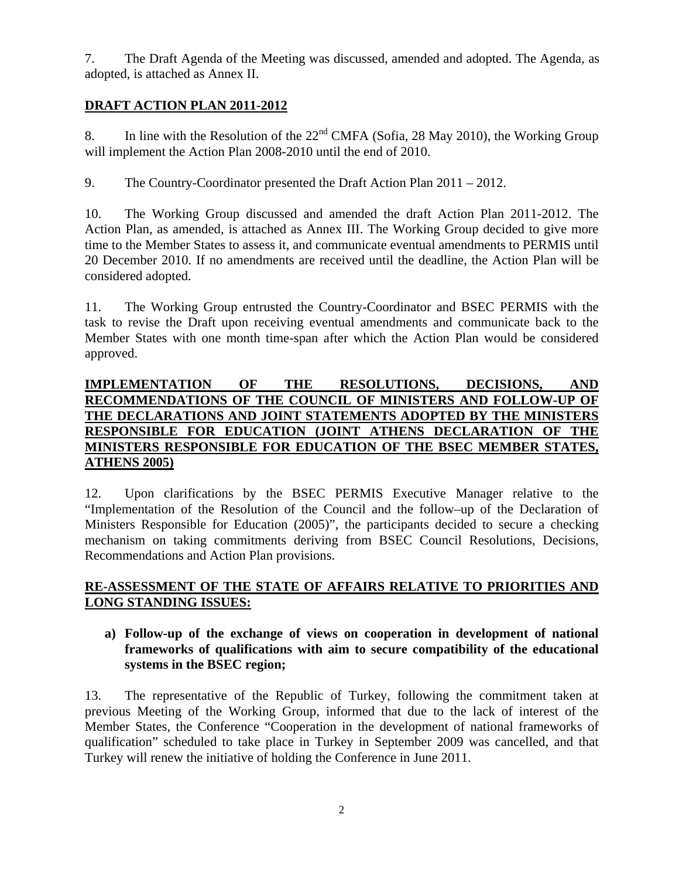7. The Draft Agenda of the Meeting was discussed, amended and adopted. The Agenda, as adopted, is attached as Annex II.

## **DRAFT ACTION PLAN 2011-2012**

8. In line with the Resolution of the  $22<sup>nd</sup> CMFA$  (Sofia, 28 May 2010), the Working Group will implement the Action Plan 2008-2010 until the end of 2010.

9. The Country-Coordinator presented the Draft Action Plan 2011 – 2012.

10. The Working Group discussed and amended the draft Action Plan 2011-2012. The Action Plan, as amended, is attached as Annex III. The Working Group decided to give more time to the Member States to assess it, and communicate eventual amendments to PERMIS until 20 December 2010. If no amendments are received until the deadline, the Action Plan will be considered adopted.

11. The Working Group entrusted the Country-Coordinator and BSEC PERMIS with the task to revise the Draft upon receiving eventual amendments and communicate back to the Member States with one month time-span after which the Action Plan would be considered approved.

## **IMPLEMENTATION OF THE RESOLUTIONS, DECISIONS, AND RECOMMENDATIONS OF THE COUNCIL OF MINISTERS AND FOLLOW-UP OF THE DECLARATIONS AND JOINT STATEMENTS ADOPTED BY THE MINISTERS RESPONSIBLE FOR EDUCATION (JOINT ATHENS DECLARATION OF THE MINISTERS RESPONSIBLE FOR EDUCATION OF THE BSEC MEMBER STATES, ATHENS 2005)**

12. Upon clarifications by the BSEC PERMIS Executive Manager relative to the "Implementation of the Resolution of the Council and the follow–up of the Declaration of Ministers Responsible for Education (2005)", the participants decided to secure a checking mechanism on taking commitments deriving from BSEC Council Resolutions, Decisions, Recommendations and Action Plan provisions.

## **RE-ASSESSMENT OF THE STATE OF AFFAIRS RELATIVE TO PRIORITIES AND LONG STANDING ISSUES:**

#### **a) Follow-up of the exchange of views on cooperation in development of national frameworks of qualifications with aim to secure compatibility of the educational systems in the BSEC region;**

13. The representative of the Republic of Turkey, following the commitment taken at previous Meeting of the Working Group, informed that due to the lack of interest of the Member States, the Conference "Cooperation in the development of national frameworks of qualification" scheduled to take place in Turkey in September 2009 was cancelled, and that Turkey will renew the initiative of holding the Conference in June 2011.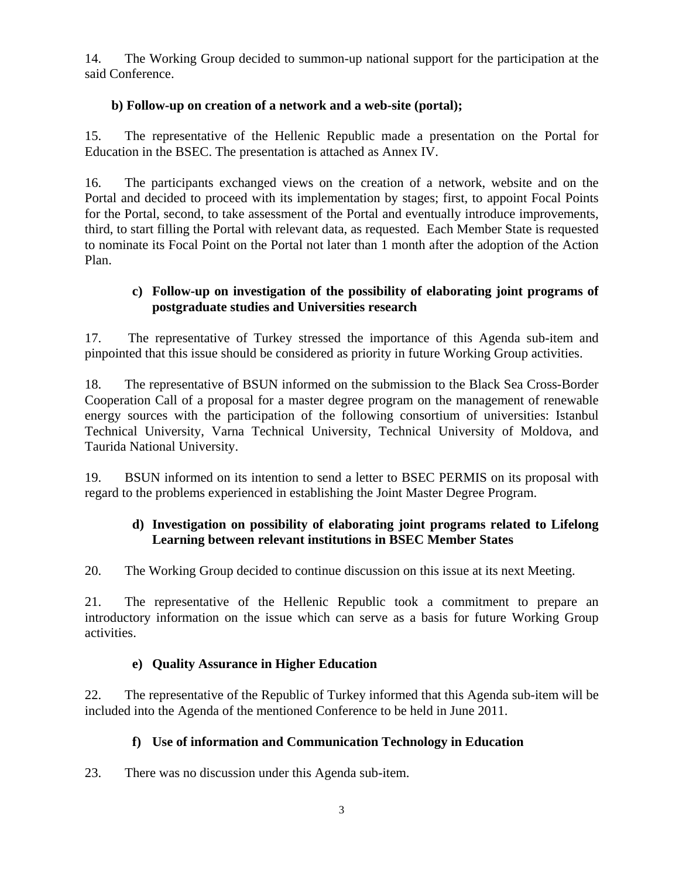14. The Working Group decided to summon-up national support for the participation at the said Conference.

## **b) Follow-up on creation of a network and a web-site (portal);**

15. The representative of the Hellenic Republic made a presentation on the Portal for Education in the BSEC. The presentation is attached as Annex IV.

16. The participants exchanged views on the creation of a network, website and on the Portal and decided to proceed with its implementation by stages; first, to appoint Focal Points for the Portal, second, to take assessment of the Portal and eventually introduce improvements, third, to start filling the Portal with relevant data, as requested. Each Member State is requested to nominate its Focal Point on the Portal not later than 1 month after the adoption of the Action Plan.

## **c) Follow-up on investigation of the possibility of elaborating joint programs of postgraduate studies and Universities research**

17. The representative of Turkey stressed the importance of this Agenda sub-item and pinpointed that this issue should be considered as priority in future Working Group activities.

18. The representative of BSUN informed on the submission to the Black Sea Cross-Border Cooperation Call of a proposal for a master degree program on the management of renewable energy sources with the participation of the following consortium of universities: Istanbul Technical University, Varna Technical University, Technical University of Moldova, and Taurida National University.

19. BSUN informed on its intention to send a letter to BSEC PERMIS on its proposal with regard to the problems experienced in establishing the Joint Master Degree Program.

# **d) Investigation on possibility of elaborating joint programs related to Lifelong Learning between relevant institutions in BSEC Member States**

20. The Working Group decided to continue discussion on this issue at its next Meeting.

21. The representative of the Hellenic Republic took a commitment to prepare an introductory information on the issue which can serve as a basis for future Working Group activities.

#### **e) Quality Assurance in Higher Education**

22. The representative of the Republic of Turkey informed that this Agenda sub-item will be included into the Agenda of the mentioned Conference to be held in June 2011.

# **f) Use of information and Communication Technology in Education**

23. There was no discussion under this Agenda sub-item.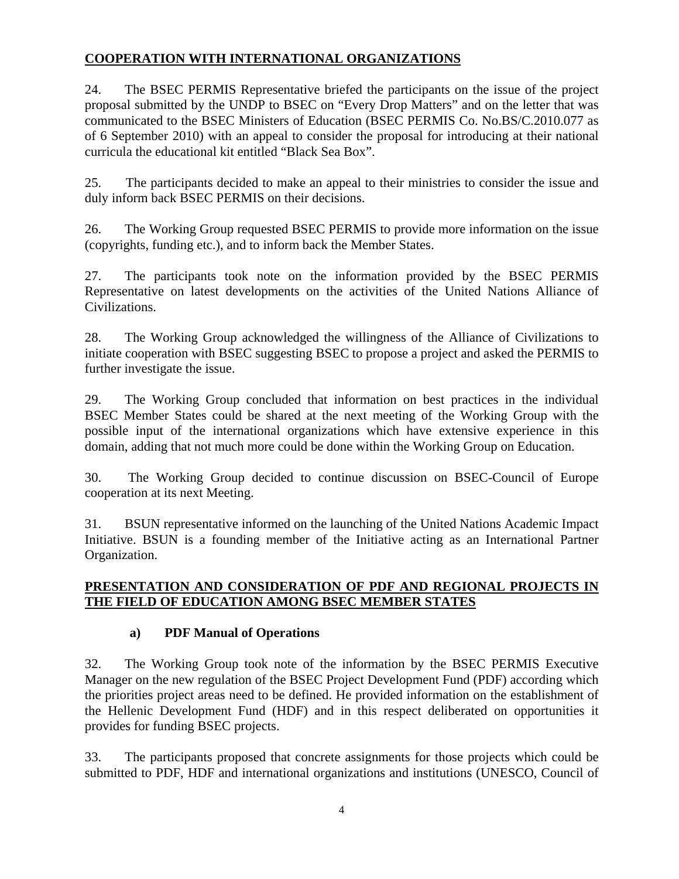# **COOPERATION WITH INTERNATIONAL ORGANIZATIONS**

24. The BSEC PERMIS Representative briefed the participants on the issue of the project proposal submitted by the UNDP to BSEC on "Every Drop Matters" and on the letter that was communicated to the BSEC Ministers of Education (BSEC PERMIS Co. No.BS/C.2010.077 as of 6 September 2010) with an appeal to consider the proposal for introducing at their national curricula the educational kit entitled "Black Sea Box".

25. The participants decided to make an appeal to their ministries to consider the issue and duly inform back BSEC PERMIS on their decisions.

26. The Working Group requested BSEC PERMIS to provide more information on the issue (copyrights, funding etc.), and to inform back the Member States.

27. The participants took note on the information provided by the BSEC PERMIS Representative on latest developments on the activities of the United Nations Alliance of Civilizations.

28. The Working Group acknowledged the willingness of the Alliance of Civilizations to initiate cooperation with BSEC suggesting BSEC to propose a project and asked the PERMIS to further investigate the issue.

29. The Working Group concluded that information on best practices in the individual BSEC Member States could be shared at the next meeting of the Working Group with the possible input of the international organizations which have extensive experience in this domain, adding that not much more could be done within the Working Group on Education.

30. The Working Group decided to continue discussion on BSEC-Council of Europe cooperation at its next Meeting.

31. BSUN representative informed on the launching of the United Nations Academic Impact Initiative. BSUN is a founding member of the Initiative acting as an International Partner Organization.

## **PRESENTATION AND CONSIDERATION OF PDF AND REGIONAL PROJECTS IN THE FIELD OF EDUCATION AMONG BSEC MEMBER STATES**

# **a) PDF Manual of Operations**

32. The Working Group took note of the information by the BSEC PERMIS Executive Manager on the new regulation of the BSEC Project Development Fund (PDF) according which the priorities project areas need to be defined. He provided information on the establishment of the Hellenic Development Fund (HDF) and in this respect deliberated on opportunities it provides for funding BSEC projects.

33. The participants proposed that concrete assignments for those projects which could be submitted to PDF, HDF and international organizations and institutions (UNESCO, Council of